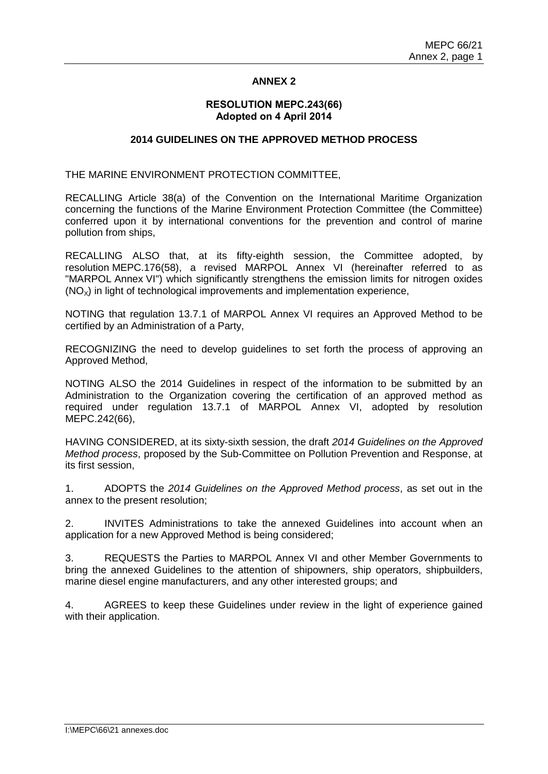## **ANNEX 2**

#### **RESOLUTION MEPC.243(66) Adopted on 4 April 2014**

## **2014 GUIDELINES ON THE APPROVED METHOD PROCESS**

THE MARINE ENVIRONMENT PROTECTION COMMITTEE,

RECALLING Article 38(a) of the Convention on the International Maritime Organization concerning the functions of the Marine Environment Protection Committee (the Committee) conferred upon it by international conventions for the prevention and control of marine pollution from ships,

RECALLING ALSO that, at its fifty-eighth session, the Committee adopted, by resolution MEPC.176(58), a revised MARPOL Annex VI (hereinafter referred to as "MARPOL Annex VI") which significantly strengthens the emission limits for nitrogen oxides  $(NO<sub>x</sub>)$  in light of technological improvements and implementation experience,

NOTING that regulation 13.7.1 of MARPOL Annex VI requires an Approved Method to be certified by an Administration of a Party,

RECOGNIZING the need to develop guidelines to set forth the process of approving an Approved Method,

NOTING ALSO the 2014 Guidelines in respect of the information to be submitted by an Administration to the Organization covering the certification of an approved method as required under regulation 13.7.1 of MARPOL Annex VI, adopted by resolution MEPC.242(66),

HAVING CONSIDERED, at its sixty-sixth session, the draft *2014 Guidelines on the Approved Method process*, proposed by the Sub-Committee on Pollution Prevention and Response, at its first session,

1. ADOPTS the *2014 Guidelines on the Approved Method process*, as set out in the annex to the present resolution;

2. INVITES Administrations to take the annexed Guidelines into account when an application for a new Approved Method is being considered;

3. REQUESTS the Parties to MARPOL Annex VI and other Member Governments to bring the annexed Guidelines to the attention of shipowners, ship operators, shipbuilders, marine diesel engine manufacturers, and any other interested groups; and

4. AGREES to keep these Guidelines under review in the light of experience gained with their application.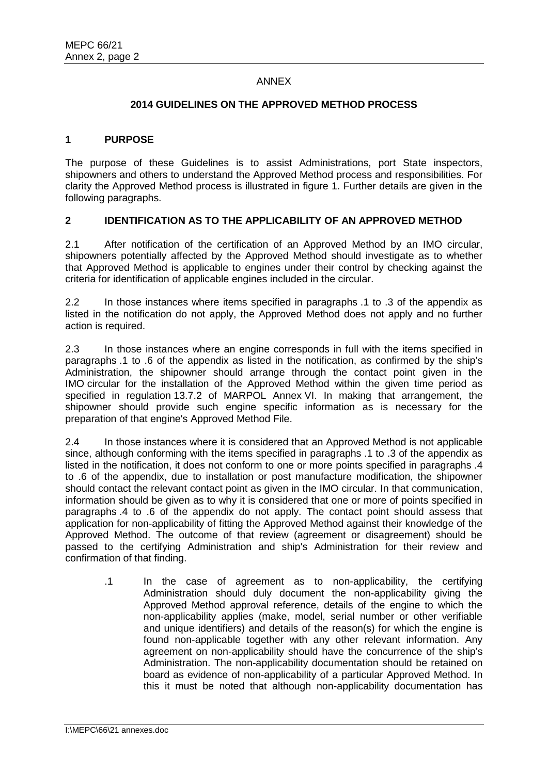## ANNEX

#### **2014 GUIDELINES ON THE APPROVED METHOD PROCESS**

## **1 PURPOSE**

The purpose of these Guidelines is to assist Administrations, port State inspectors, shipowners and others to understand the Approved Method process and responsibilities. For clarity the Approved Method process is illustrated in figure 1. Further details are given in the following paragraphs.

## **2 IDENTIFICATION AS TO THE APPLICABILITY OF AN APPROVED METHOD**

2.1 After notification of the certification of an Approved Method by an IMO circular, shipowners potentially affected by the Approved Method should investigate as to whether that Approved Method is applicable to engines under their control by checking against the criteria for identification of applicable engines included in the circular.

2.2 In those instances where items specified in paragraphs .1 to .3 of the appendix as listed in the notification do not apply, the Approved Method does not apply and no further action is required.

2.3 In those instances where an engine corresponds in full with the items specified in paragraphs .1 to .6 of the appendix as listed in the notification, as confirmed by the ship's Administration, the shipowner should arrange through the contact point given in the IMO circular for the installation of the Approved Method within the given time period as specified in regulation 13.7.2 of MARPOL Annex VI. In making that arrangement, the shipowner should provide such engine specific information as is necessary for the preparation of that engine's Approved Method File.

2.4 In those instances where it is considered that an Approved Method is not applicable since, although conforming with the items specified in paragraphs .1 to .3 of the appendix as listed in the notification, it does not conform to one or more points specified in paragraphs .4 to .6 of the appendix, due to installation or post manufacture modification, the shipowner should contact the relevant contact point as given in the IMO circular. In that communication, information should be given as to why it is considered that one or more of points specified in paragraphs .4 to .6 of the appendix do not apply. The contact point should assess that application for non-applicability of fitting the Approved Method against their knowledge of the Approved Method. The outcome of that review (agreement or disagreement) should be passed to the certifying Administration and ship's Administration for their review and confirmation of that finding.

.1 In the case of agreement as to non-applicability, the certifying Administration should duly document the non-applicability giving the Approved Method approval reference, details of the engine to which the non-applicability applies (make, model, serial number or other verifiable and unique identifiers) and details of the reason(s) for which the engine is found non-applicable together with any other relevant information. Any agreement on non-applicability should have the concurrence of the ship's Administration. The non-applicability documentation should be retained on board as evidence of non-applicability of a particular Approved Method. In this it must be noted that although non-applicability documentation has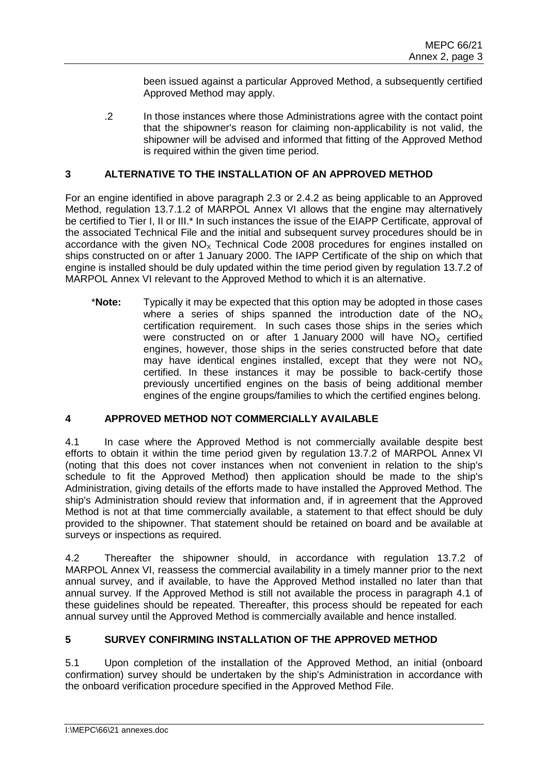been issued against a particular Approved Method, a subsequently certified Approved Method may apply.

.2 In those instances where those Administrations agree with the contact point that the shipowner's reason for claiming non-applicability is not valid, the shipowner will be advised and informed that fitting of the Approved Method is required within the given time period.

## **3 ALTERNATIVE TO THE INSTALLATION OF AN APPROVED METHOD**

For an engine identified in above paragraph 2.3 or 2.4.2 as being applicable to an Approved Method, regulation 13.7.1.2 of MARPOL Annex VI allows that the engine may alternatively be certified to Tier I, II or III.<sup>\*</sup> In such instances the issue of the EIAPP Certificate, approval of the associated Technical File and the initial and subsequent survey procedures should be in accordance with the given  $NO<sub>x</sub>$  Technical Code 2008 procedures for engines installed on ships constructed on or after 1 January 2000. The IAPP Certificate of the ship on which that engine is installed should be duly updated within the time period given by regulation 13.7.2 of MARPOL Annex VI relevant to the Approved Method to which it is an alternative.

\***Note:** Typically it may be expected that this option may be adopted in those cases where a series of ships spanned the introduction date of the  $NO<sub>x</sub>$ certification requirement. In such cases those ships in the series which were constructed on or after 1 January 2000 will have  $NO<sub>x</sub>$  certified engines, however, those ships in the series constructed before that date may have identical engines installed, except that they were not  $NO<sub>x</sub>$ certified. In these instances it may be possible to back-certify those previously uncertified engines on the basis of being additional member engines of the engine groups/families to which the certified engines belong.

## **4 APPROVED METHOD NOT COMMERCIALLY AVAILABLE**

4.1 In case where the Approved Method is not commercially available despite best efforts to obtain it within the time period given by regulation 13.7.2 of MARPOL Annex VI (noting that this does not cover instances when not convenient in relation to the ship's schedule to fit the Approved Method) then application should be made to the ship's Administration, giving details of the efforts made to have installed the Approved Method. The ship's Administration should review that information and, if in agreement that the Approved Method is not at that time commercially available, a statement to that effect should be duly provided to the shipowner. That statement should be retained on board and be available at surveys or inspections as required.

4.2 Thereafter the shipowner should, in accordance with regulation 13.7.2 of MARPOL Annex VI, reassess the commercial availability in a timely manner prior to the next annual survey, and if available, to have the Approved Method installed no later than that annual survey. If the Approved Method is still not available the process in paragraph 4.1 of these guidelines should be repeated. Thereafter, this process should be repeated for each annual survey until the Approved Method is commercially available and hence installed.

# **5 SURVEY CONFIRMING INSTALLATION OF THE APPROVED METHOD**

5.1 Upon completion of the installation of the Approved Method, an initial (onboard confirmation) survey should be undertaken by the ship's Administration in accordance with the onboard verification procedure specified in the Approved Method File.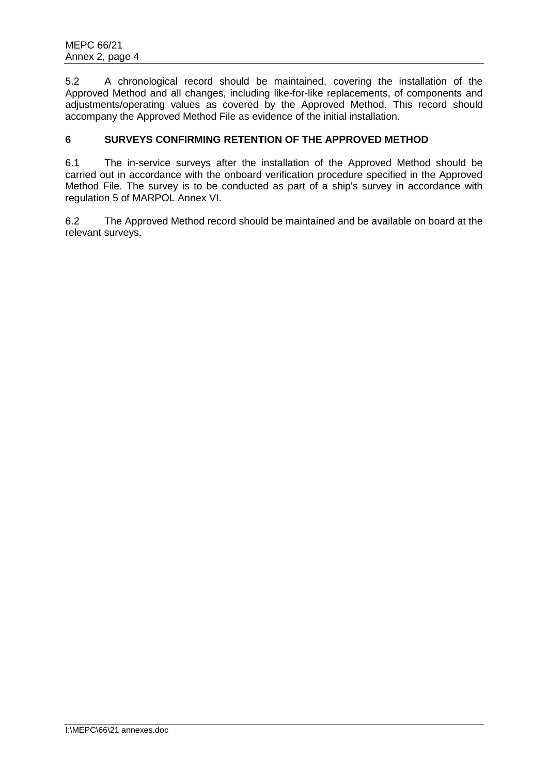5.2 A chronological record should be maintained, covering the installation of the Approved Method and all changes, including like-for-like replacements, of components and adjustments/operating values as covered by the Approved Method. This record should accompany the Approved Method File as evidence of the initial installation.

## **6 SURVEYS CONFIRMING RETENTION OF THE APPROVED METHOD**

6.1 The in-service surveys after the installation of the Approved Method should be carried out in accordance with the onboard verification procedure specified in the Approved Method File. The survey is to be conducted as part of a ship's survey in accordance with regulation 5 of MARPOL Annex VI.

6.2 The Approved Method record should be maintained and be available on board at the relevant surveys.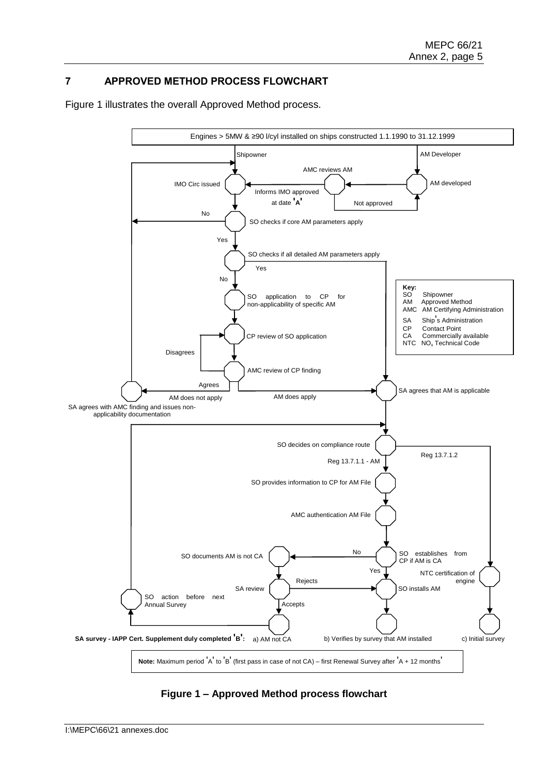# **7 APPROVED METHOD PROCESS FLOWCHART**

Figure 1 illustrates the overall Approved Method process.



**Figure 1 – Approved Method process flowchart**